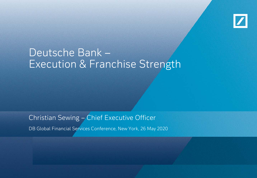

# Deutsche Bank – Execution & Franchise Strength

Christian Sewing – Chief Executive Officer

DB Global Financial Services Conference, New York, 26 May 2020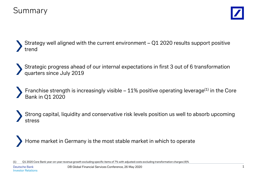

Strategy well aligned with the current environment – Q1 2020 results support positive trend

Strategic progress ahead of our internal expectations in first 3 out of 6 transformation quarters since July 2019

Franchise strength is increasingly visible  $-11\%$  positive operating leverage<sup>(1)</sup> in the Core Bank in Q1 2020

Strong capital, liquidity and conservative risk levels position us well to absorb upcoming stress

Home market in Germany is the most stable market in which to operate

(1) Q1 2020 Core Bank year-on-year revenue growth excluding specific items of 7% with adjusted costs excluding transformation charges (4)%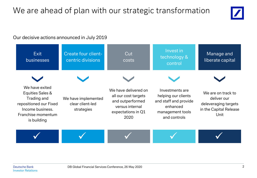# We are ahead of plan with our strategic transformation



## Our decisive actions announced in July 2019

| Exit<br>businesses                                                                                                                   | <b>Create four client-</b><br>centric divisions       | Cut<br>costs                                                                                                      | Invest in<br>technology &<br>control                                                                            | Manage and<br>liberate capital                                                              |
|--------------------------------------------------------------------------------------------------------------------------------------|-------------------------------------------------------|-------------------------------------------------------------------------------------------------------------------|-----------------------------------------------------------------------------------------------------------------|---------------------------------------------------------------------------------------------|
|                                                                                                                                      |                                                       |                                                                                                                   |                                                                                                                 |                                                                                             |
| We have exited<br>Equities Sales &<br>Trading and<br>repositioned our Fixed<br>Income business.<br>Franchise momentum<br>is building | We have implemented<br>clear client-led<br>strategies | We have delivered on<br>all our cost targets<br>and outperformed<br>versus internal<br>expectations in Q1<br>2020 | Investments are<br>helping our clients<br>and staff and provide<br>enhanced<br>management tools<br>and controls | We are on track to<br>deliver our<br>deleveraging targets<br>in the Capital Release<br>Unit |
|                                                                                                                                      |                                                       |                                                                                                                   |                                                                                                                 |                                                                                             |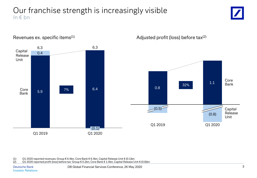## Our franchise strength is increasingly visible In  $f$  bn





Revenues ex. specific items<sup>(1)</sup>  $\qquad \qquad$  Adjusted profit (loss) before tax<sup>(2)</sup>

(1) Q1 2020 reported revenues: Group € 6.4bn, Core Bank € 6.4bn, Capital Release Unit € (0.1)bn<br>(2) O1 2020 reported profit (loss) before tax: Group € 0.2bn, Core Bank € 1.0bn, Capital Release U

(2) Q1 2020 reported profit (loss) before tax: Group € 0.2bn, Core Bank € 1.0bn, Capital Release Unit € (0.8)bn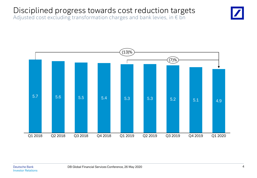# Disciplined progress towards cost reduction targets

Adjusted cost excluding transformation charges and bank levies, in  $\epsilon$  bn

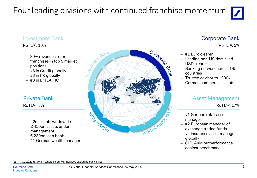# Four leading divisions with continued franchise momentum



## Investment Bank **Corporate Bank**

### RoTE(1): 10%

- − 80% revenues from franchises in top 5 market positions
- − #3 in Credit globally
- − #3 in FX globally
- − #3 in EMEA FIC

## Private Bank

### $RoTE^{(1)}$ : 5%

- − 22m clients worldwide
- − € 450bn assets under management
- − € 230bn loan book
- − #1 German wealth manager



RoTE(1): 5%

- − #1 Euro clearer
- − Leading non-US domiciled USD clearer
- − Banking network across 145 countries
- − Trusted advisor to ~900k German commercial clients

## Asset Management

RoTE(1): 17%

- − #1 German retail asset manager
- − #2 European manager of exchange traded funds
- − #4 insurance asset manager globally
- − 81% AuM outperformance against benchmark

(1) Q1 2020 return on tangible equity annualized excluding bank levies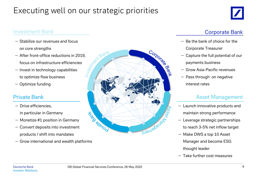# Executing well on our strategic priorities



## Investment Bank **Comporate Bank** Comporate Bank **Comporate Bank**

- − Stabilize our revenues and focus on core strengths
- − After front-office reductions in 2019,<br>focus on infrastructure efficiencies<br>– Invest in technology capabilities focus on infrastructure efficiencies
- − Invest in technology capabilities to optimize flow business
- − Optimize funding

- − Drive efficiencies, in particular in Germany
- − Monetize #1 position in Germany
- − Convert deposits into investment products / shift into mandates
- − Grow international and wealth platforms



- − Be the bank of choice for the Corporate Treasurer
- − Capture the full potential of our payments business
- − Grow Asia-Pacific revenues
- − Pass through on negative interest rates

- − Launch innovative products and maintain strong performance
- − Leverage strategic partnerships to reach 3-5% net inflow target
- − Make DWS a top 10 Asset Manager and become ESG thought leader
- − Take further cost measures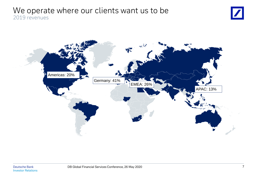## We operate where our clients want us to be 2019 revenues



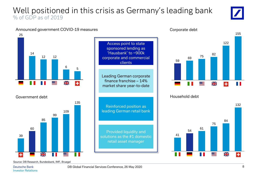## Well positioned in this crisis as Germany's leading bank % of GDP as of 2019



### Announced government COVID-19 measures Company Corporate debt





Access point to state sponsored lending as 'Hausbank' to ~900k corporate and commercial clients

Leading German corporate finance franchise – 14% market share year-to-date

Reinforced position as leading German retail bank

Provided liquidity and solutions as the #1 domestic retail asset manager





### Government debt **Household debt Household debt**



Source: DB Research, Bundesbank, IMF, Bruegel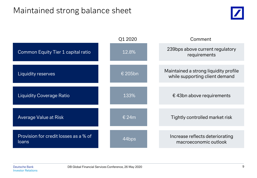# Maintained strong balance sheet



|                                                | Q1 2020           | Comment                                                                 |
|------------------------------------------------|-------------------|-------------------------------------------------------------------------|
| Common Equity Tier 1 capital ratio             | 12.8%             | 239bps above current regulatory<br>requirements                         |
| Liquidity reserves                             | € 205bn           | Maintained a strong liquidity profile<br>while supporting client demand |
| <b>Liquidity Coverage Ratio</b>                | 133%              | $\epsilon$ 43bn above requirements                                      |
| <b>Average Value at Risk</b>                   | € 24 $m$          | Tightly controlled market risk                                          |
| Provision for credit losses as a % of<br>loans | 44 <sub>bps</sub> | Increase reflects deteriorating<br>macroeconomic outlook                |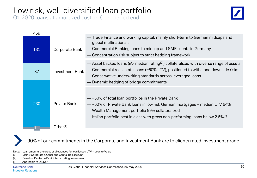# Low risk, well diversified loan portfolio

Q1 2020 loans at amortized cost, in  $\epsilon$  bn, period end



| 459 |                        |                                                                                                                                                                                                                                                                                                      |
|-----|------------------------|------------------------------------------------------------------------------------------------------------------------------------------------------------------------------------------------------------------------------------------------------------------------------------------------------|
| 131 | <b>Corporate Bank</b>  | — Trade Finance and working capital, mainly short-term to German midcaps and<br>global multinationals<br>- Commercial Banking loans to midcap and SME clients in Germany<br>- Concentration risk subject to strict hedging framework                                                                 |
| 87  | <b>Investment Bank</b> | — Asset backed loans (iA- median rating <sup>(2)</sup> ) collateralized with diverse range of assets<br>- Commercial real estate loans (~60% LTV), positioned to withstand downside risks<br>- Conservative underwriting standards across leveraged loans<br>— Dynamic hedging of bridge commitments |
|     |                        |                                                                                                                                                                                                                                                                                                      |
| 230 | <b>Private Bank</b>    | $-$ ~50% of total loan portfolios in the Private Bank<br>- ~60% of Private Bank loans in low risk German mortgages - median LTV 64%<br>- Wealth Management portfolio 99% collateralized<br>-ltalian portfolio best in class with gross non-performing loans below 2.5% <sup>(3)</sup>                |
|     | Other <sup>(1)</sup>   |                                                                                                                                                                                                                                                                                                      |

90% of our commitments in the Corporate and Investment Bank are to clients rated investment grade

Note: Loan amounts are gross of allowances for loan losses. LTV = Loan to Value

- (1) Mainly Corporate & Other and Capital Release Unit
- (2) Based on Deutsche Bank internal rating assessment

(3) Applicable to DB SpA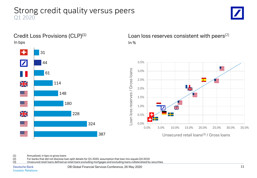## Strong credit quality versus peers Q1 2020





Credit Loss Provisions  $(CLP)^{(1)}$  Loan loss reserves consistent with peers<sup>(2)</sup>



(1) Annualized, in bps vs gross loans<br>(2) For banks that did not disclose loans

(2) For banks that did not disclose loan split details for Q1 2020, assumption that loan mix equals Q4 2019

(3) Unsecured retail loans defined as retail loans excluding mortgages and excluding loans collateralized by securities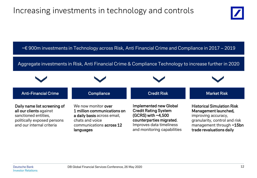# Increasing investments in technology and controls



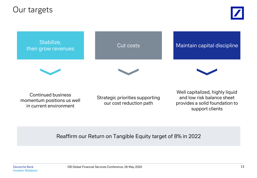Our targets



Continued business momentum positions us well in current environment

Strategic priorities supporting our cost reduction path

Well capitalized, highly liquid and low risk balance sheet provides a solid foundation to support clients

Reaffirm our Return on Tangible Equity target of 8% in 2022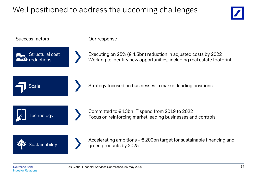# Well positioned to address the upcoming challenges